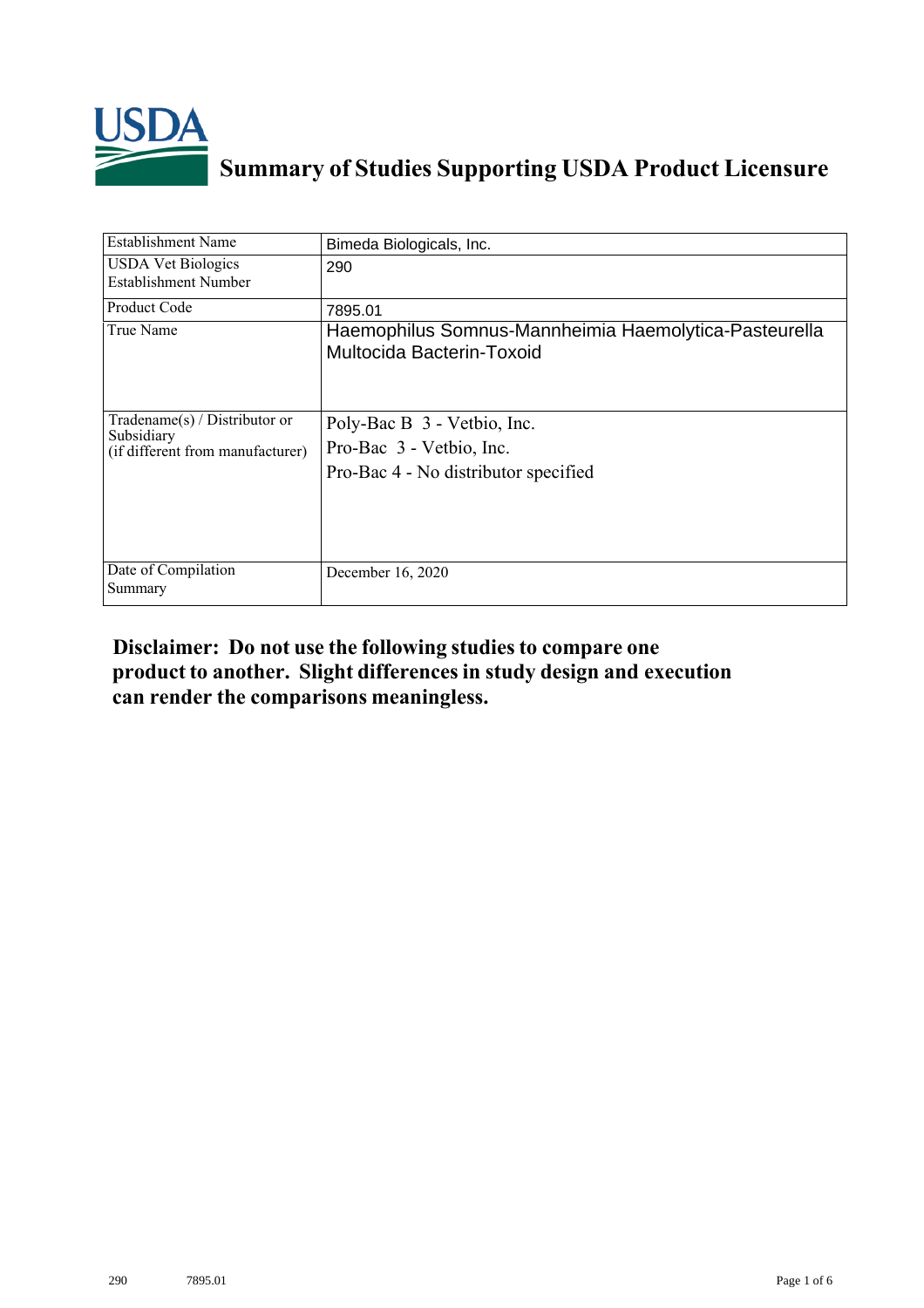

## **Summary of Studies Supporting USDA Product Licensure**

| <b>Establishment Name</b>                                                         | Bimeda Biologicals, Inc.                                                                        |
|-----------------------------------------------------------------------------------|-------------------------------------------------------------------------------------------------|
| <b>USDA</b> Vet Biologics<br>Establishment Number                                 | 290                                                                                             |
| <b>Product Code</b>                                                               | 7895.01                                                                                         |
| True Name                                                                         | Haemophilus Somnus-Mannheimia Haemolytica-Pasteurella<br>Multocida Bacterin-Toxoid              |
| $Tradename(s) / Distributor$ or<br>Subsidiary<br>(if different from manufacturer) | Poly-Bac B 3 - Vetbio, Inc.<br>Pro-Bac 3 - Vetbio, Inc.<br>Pro-Bac 4 - No distributor specified |
| Date of Compilation<br>Summary                                                    | December 16, 2020                                                                               |

## **Disclaimer: Do not use the following studiesto compare one product to another. Slight differencesin study design and execution can render the comparisons meaningless.**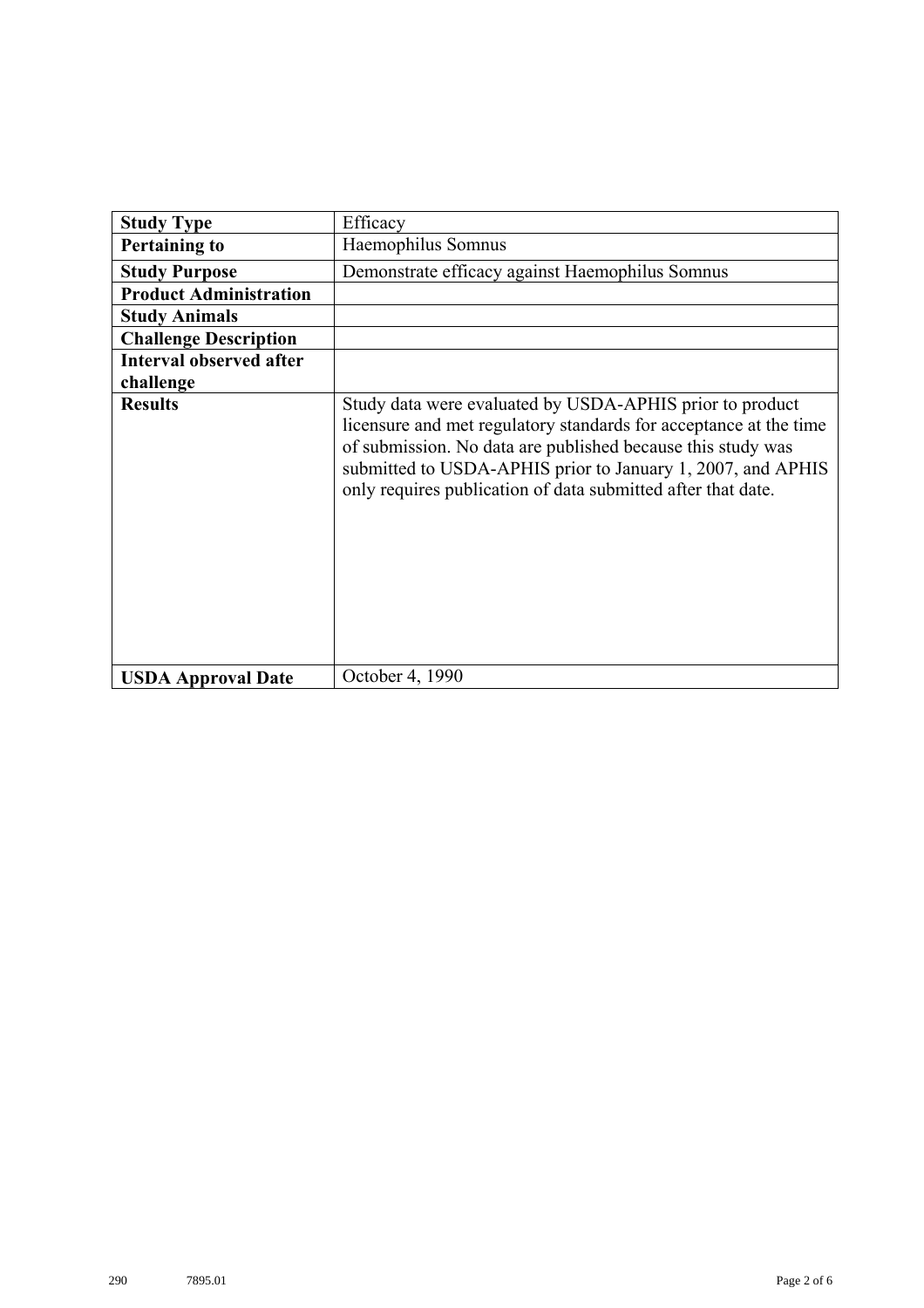| <b>Study Type</b>              | Efficacy                                                                                                                                                                                                                                                                                                                    |
|--------------------------------|-----------------------------------------------------------------------------------------------------------------------------------------------------------------------------------------------------------------------------------------------------------------------------------------------------------------------------|
| <b>Pertaining to</b>           | Haemophilus Somnus                                                                                                                                                                                                                                                                                                          |
| <b>Study Purpose</b>           | Demonstrate efficacy against Haemophilus Somnus                                                                                                                                                                                                                                                                             |
| <b>Product Administration</b>  |                                                                                                                                                                                                                                                                                                                             |
| <b>Study Animals</b>           |                                                                                                                                                                                                                                                                                                                             |
| <b>Challenge Description</b>   |                                                                                                                                                                                                                                                                                                                             |
| <b>Interval observed after</b> |                                                                                                                                                                                                                                                                                                                             |
| challenge                      |                                                                                                                                                                                                                                                                                                                             |
| <b>Results</b>                 | Study data were evaluated by USDA-APHIS prior to product<br>licensure and met regulatory standards for acceptance at the time<br>of submission. No data are published because this study was<br>submitted to USDA-APHIS prior to January 1, 2007, and APHIS<br>only requires publication of data submitted after that date. |
| <b>USDA Approval Date</b>      | October 4, 1990                                                                                                                                                                                                                                                                                                             |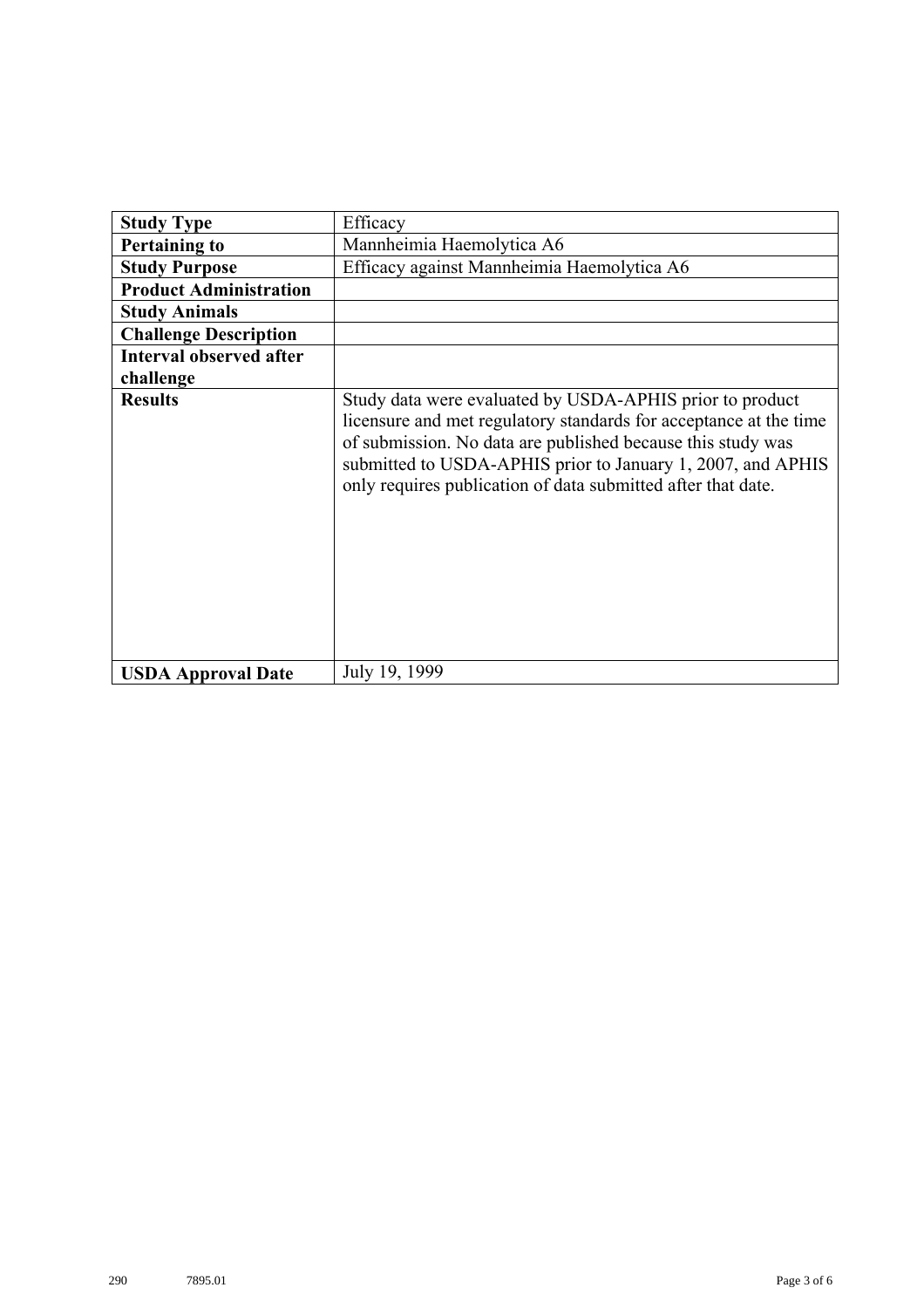| <b>Study Type</b>              | Efficacy                                                                                                                                                                                                                                                                                                                    |
|--------------------------------|-----------------------------------------------------------------------------------------------------------------------------------------------------------------------------------------------------------------------------------------------------------------------------------------------------------------------------|
| <b>Pertaining to</b>           | Mannheimia Haemolytica A6                                                                                                                                                                                                                                                                                                   |
| <b>Study Purpose</b>           | Efficacy against Mannheimia Haemolytica A6                                                                                                                                                                                                                                                                                  |
| <b>Product Administration</b>  |                                                                                                                                                                                                                                                                                                                             |
| <b>Study Animals</b>           |                                                                                                                                                                                                                                                                                                                             |
| <b>Challenge Description</b>   |                                                                                                                                                                                                                                                                                                                             |
| <b>Interval observed after</b> |                                                                                                                                                                                                                                                                                                                             |
| challenge                      |                                                                                                                                                                                                                                                                                                                             |
| <b>Results</b>                 | Study data were evaluated by USDA-APHIS prior to product<br>licensure and met regulatory standards for acceptance at the time<br>of submission. No data are published because this study was<br>submitted to USDA-APHIS prior to January 1, 2007, and APHIS<br>only requires publication of data submitted after that date. |
| <b>USDA Approval Date</b>      | July 19, 1999                                                                                                                                                                                                                                                                                                               |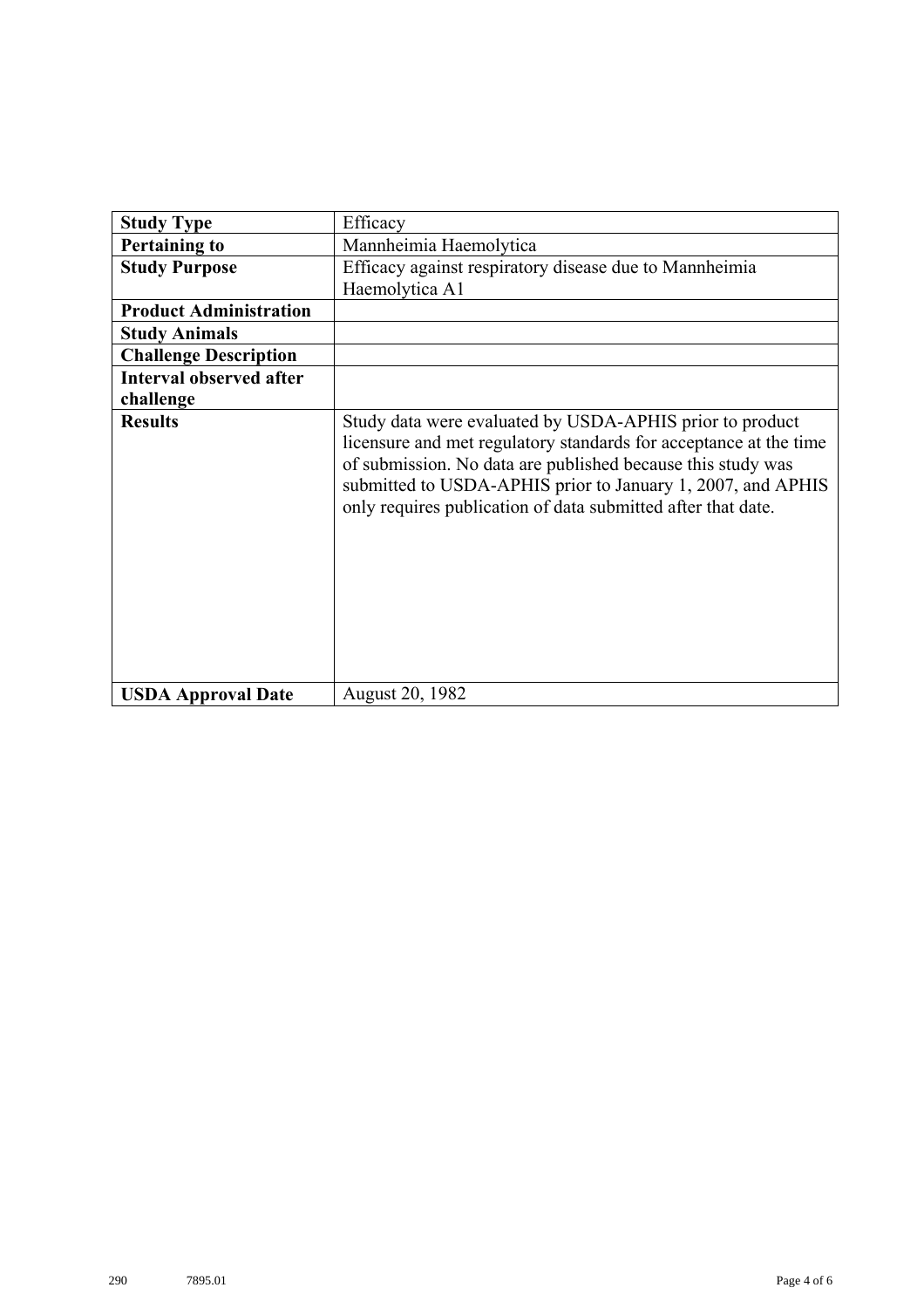| <b>Study Type</b>              | Efficacy                                                                                                                                                                                                                                                                                                                    |
|--------------------------------|-----------------------------------------------------------------------------------------------------------------------------------------------------------------------------------------------------------------------------------------------------------------------------------------------------------------------------|
| <b>Pertaining to</b>           | Mannheimia Haemolytica                                                                                                                                                                                                                                                                                                      |
| <b>Study Purpose</b>           | Efficacy against respiratory disease due to Mannheimia                                                                                                                                                                                                                                                                      |
|                                | Haemolytica A1                                                                                                                                                                                                                                                                                                              |
| <b>Product Administration</b>  |                                                                                                                                                                                                                                                                                                                             |
| <b>Study Animals</b>           |                                                                                                                                                                                                                                                                                                                             |
| <b>Challenge Description</b>   |                                                                                                                                                                                                                                                                                                                             |
| <b>Interval observed after</b> |                                                                                                                                                                                                                                                                                                                             |
| challenge                      |                                                                                                                                                                                                                                                                                                                             |
| <b>Results</b>                 | Study data were evaluated by USDA-APHIS prior to product<br>licensure and met regulatory standards for acceptance at the time<br>of submission. No data are published because this study was<br>submitted to USDA-APHIS prior to January 1, 2007, and APHIS<br>only requires publication of data submitted after that date. |
| <b>USDA Approval Date</b>      | August 20, 1982                                                                                                                                                                                                                                                                                                             |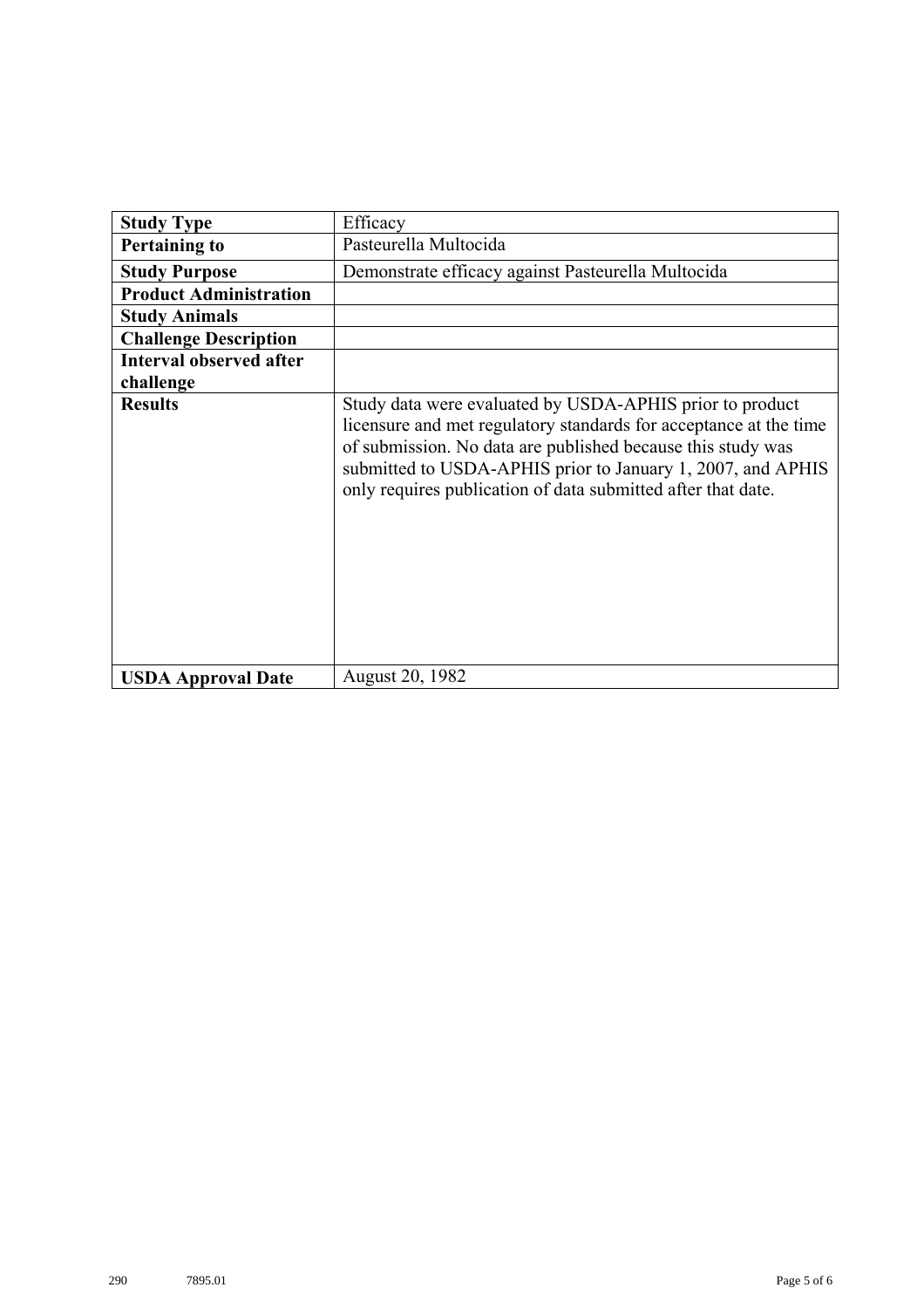| <b>Study Type</b>              | Efficacy                                                                                                                                                                                                                                                                                                                    |
|--------------------------------|-----------------------------------------------------------------------------------------------------------------------------------------------------------------------------------------------------------------------------------------------------------------------------------------------------------------------------|
| <b>Pertaining to</b>           | Pasteurella Multocida                                                                                                                                                                                                                                                                                                       |
| <b>Study Purpose</b>           | Demonstrate efficacy against Pasteurella Multocida                                                                                                                                                                                                                                                                          |
| <b>Product Administration</b>  |                                                                                                                                                                                                                                                                                                                             |
| <b>Study Animals</b>           |                                                                                                                                                                                                                                                                                                                             |
| <b>Challenge Description</b>   |                                                                                                                                                                                                                                                                                                                             |
| <b>Interval observed after</b> |                                                                                                                                                                                                                                                                                                                             |
| challenge                      |                                                                                                                                                                                                                                                                                                                             |
| <b>Results</b>                 | Study data were evaluated by USDA-APHIS prior to product<br>licensure and met regulatory standards for acceptance at the time<br>of submission. No data are published because this study was<br>submitted to USDA-APHIS prior to January 1, 2007, and APHIS<br>only requires publication of data submitted after that date. |
| <b>USDA Approval Date</b>      | <b>August 20, 1982</b>                                                                                                                                                                                                                                                                                                      |